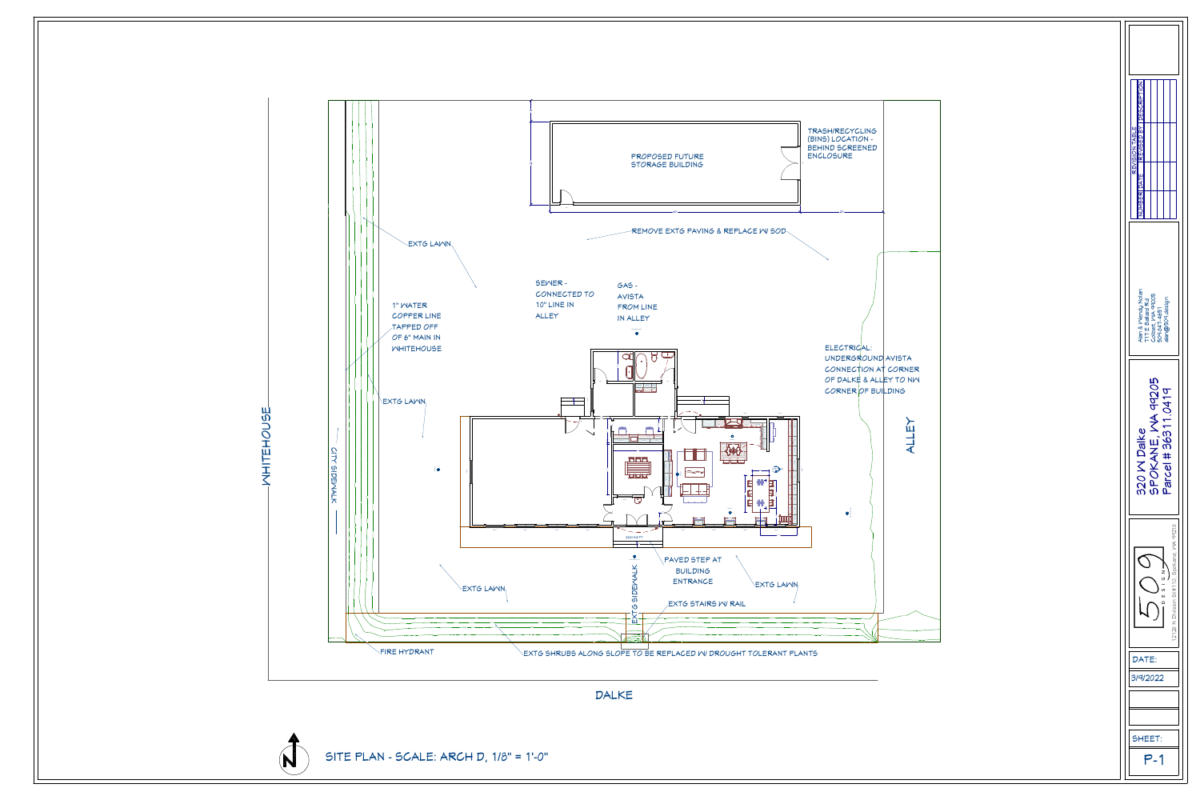



| <b>DESCRIPTION</b><br><b>KEVISED BY</b><br>REVISION TABLE<br><b>MBER DATE</b>                         |
|-------------------------------------------------------------------------------------------------------|
| Alan & Mendy Nolan<br>Colbert, MA 99005<br>509-847-4651<br>alan@509.design<br><b>111 E Ballard Rd</b> |
| <b>MA 99205</b><br>Parcel # 36311.0419<br>$\bm{\mathcal{D}}$<br>320 W Dalk<br>SPOKANE                 |
| 12128 N Division St #110, Spokane, MA 99218<br>■ N U O O O O O O O                                    |
| DATE:<br>3/9/2022                                                                                     |
| SHEET:<br>,<br>_                                                                                      |